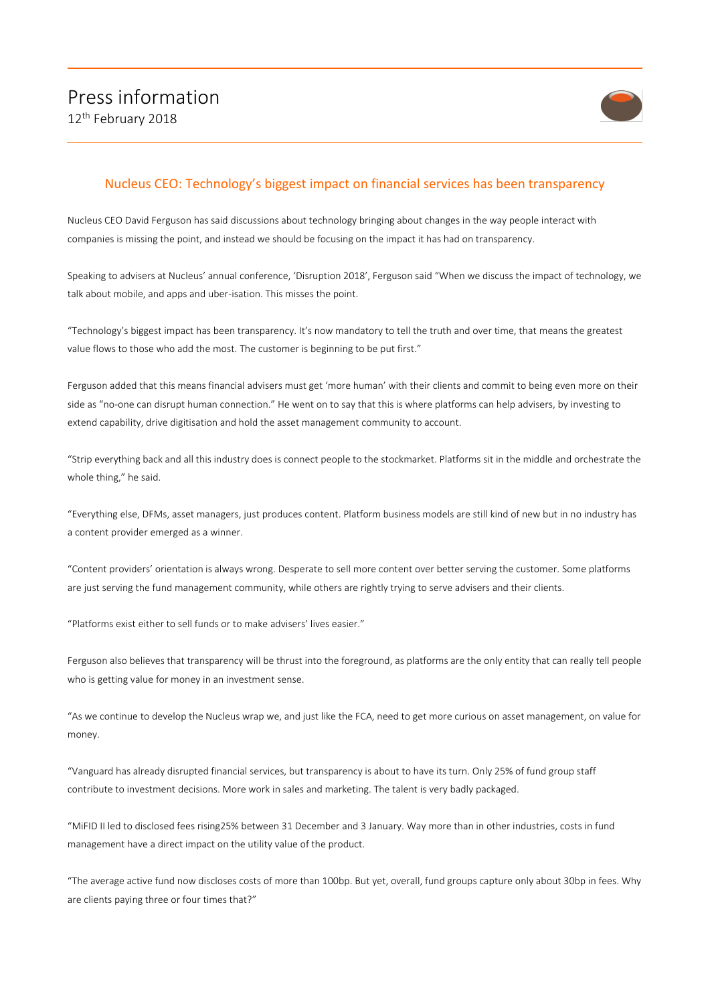

## Nucleus CEO: Technology's biggest impact on financial services has been transparency

Nucleus CEO David Ferguson has said discussions about technology bringing about changes in the way people interact with companies is missing the point, and instead we should be focusing on the impact it has had on transparency.

Speaking to advisers at Nucleus' annual conference, 'Disruption 2018', Ferguson said "When we discuss the impact of technology, we talk about mobile, and apps and uber-isation. This misses the point.

"Technology's biggest impact has been transparency. It's now mandatory to tell the truth and over time, that means the greatest value flows to those who add the most. The customer is beginning to be put first."

Ferguson added that this means financial advisers must get 'more human' with their clients and commit to being even more on their side as "no-one can disrupt human connection." He went on to say that this is where platforms can help advisers, by investing to extend capability, drive digitisation and hold the asset management community to account.

"Strip everything back and all this industry does is connect people to the stockmarket. Platforms sit in the middle and orchestrate the whole thing," he said.

"Everything else, DFMs, asset managers, just produces content. Platform business models are still kind of new but in no industry has a content provider emerged as a winner.

"Content providers' orientation is always wrong. Desperate to sell more content over better serving the customer. Some platforms are just serving the fund management community, while others are rightly trying to serve advisers and their clients.

"Platforms exist either to sell funds or to make advisers' lives easier."

Ferguson also believes that transparency will be thrust into the foreground, as platforms are the only entity that can really tell people who is getting value for money in an investment sense.

"As we continue to develop the Nucleus wrap we, and just like the FCA, need to get more curious on asset management, on value for money.

"Vanguard has already disrupted financial services, but transparency is about to have its turn. Only 25% of fund group staff contribute to investment decisions. More work in sales and marketing. The talent is very badly packaged.

"MiFID II led to disclosed fees rising25% between 31 December and 3 January. Way more than in other industries, costs in fund management have a direct impact on the utility value of the product.

"The average active fund now discloses costs of more than 100bp. But yet, overall, fund groups capture only about 30bp in fees. Why are clients paying three or four times that?"